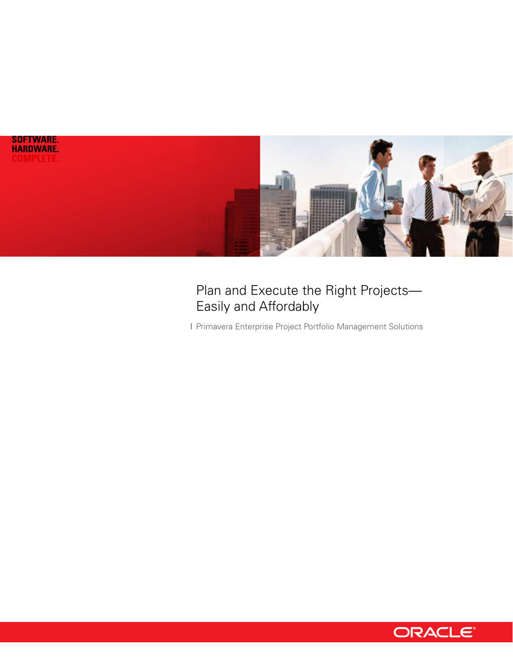

# Plan and Execute the Right Projects— Easily and Affordably

Primavera Enterprise Project Portfolio Management Solutions

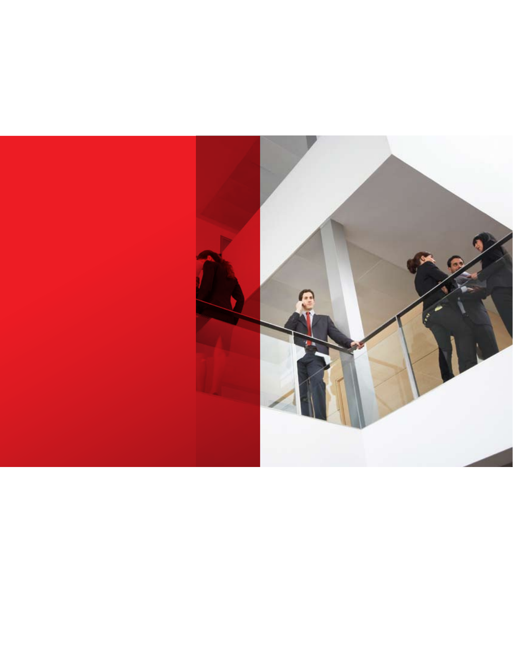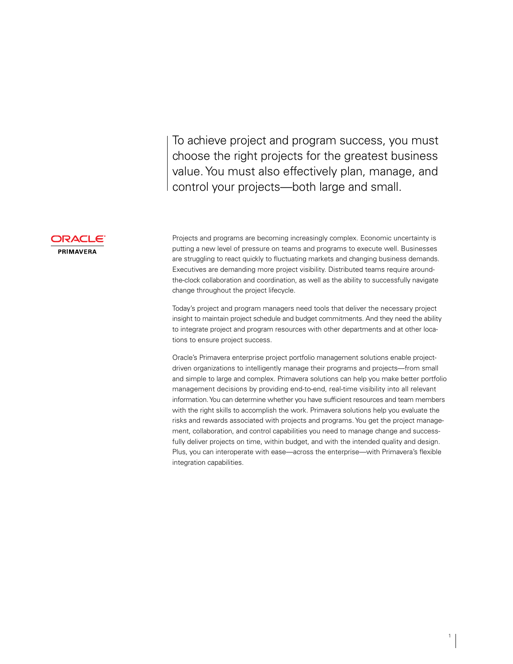To achieve project and program success, you must choose the right projects for the greatest business value. You must also effectively plan, manage, and control your projects—both large and small.



Projects and programs are becoming increasingly complex. Economic uncertainty is putting a new level of pressure on teams and programs to execute well. Businesses are struggling to react quickly to fluctuating markets and changing business demands. Executives are demanding more project visibility. Distributed teams require aroundthe-clock collaboration and coordination, as well as the ability to successfully navigate change throughout the project lifecycle.

Today's project and program managers need tools that deliver the necessary project insight to maintain project schedule and budget commitments. And they need the ability to integrate project and program resources with other departments and at other locations to ensure project success.

Oracle's Primavera enterprise project portfolio management solutions enable projectdriven organizations to intelligently manage their programs and projects—from small and simple to large and complex. Primavera solutions can help you make better portfolio management decisions by providing end-to-end, real-time visibility into all relevant information. You can determine whether you have sufficient resources and team members with the right skills to accomplish the work. Primavera solutions help you evaluate the risks and rewards associated with projects and programs. You get the project management, collaboration, and control capabilities you need to manage change and successfully deliver projects on time, within budget, and with the intended quality and design. Plus, you can interoperate with ease—across the enterprise—with Primavera's flexible integration capabilities.

1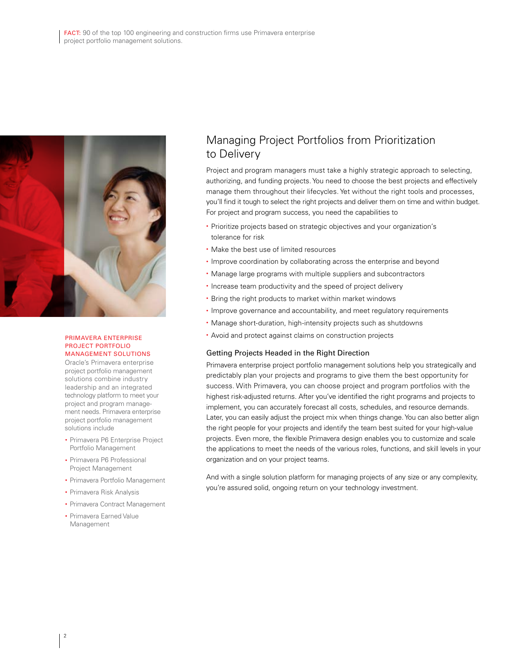

#### PRIMAVERA ENTERPRISE Project Portfolio management solutions

Oracle's Primavera enterprise project portfolio management solutions combine industry leadership and an integrated technology platform to meet your project and program management needs. Primavera enterprise project portfolio management solutions include

- Primavera P6 Enterprise Project Portfolio Management
- Primavera P6 Professional Project Management
- Primavera Portfolio Management
- Primavera Risk Analysis
- Primavera Contract Management
- Primavera Earned Value Management

## Managing Project Portfolios from Prioritization to Delivery

Project and program managers must take a highly strategic approach to selecting, authorizing, and funding projects. You need to choose the best projects and effectively manage them throughout their lifecycles. Yet without the right tools and processes, you'll find it tough to select the right projects and deliver them on time and within budget. For project and program success, you need the capabilities to

- Prioritize projects based on strategic objectives and your organization's tolerance for risk
- Make the best use of limited resources
- Improve coordination by collaborating across the enterprise and beyond
- Manage large programs with multiple suppliers and subcontractors
- Increase team productivity and the speed of project delivery
- Bring the right products to market within market windows
- Improve governance and accountability, and meet regulatory requirements
- Manage short-duration, high-intensity projects such as shutdowns
- Avoid and protect against claims on construction projects

## Getting Projects Headed in the Right Direction

Primavera enterprise project portfolio management solutions help you strategically and predictably plan your projects and programs to give them the best opportunity for success. With Primavera, you can choose project and program portfolios with the highest risk-adjusted returns. After you've identified the right programs and projects to implement, you can accurately forecast all costs, schedules, and resource demands. Later, you can easily adjust the project mix when things change. You can also better align the right people for your projects and identify the team best suited for your high-value projects. Even more, the flexible Primavera design enables you to customize and scale the applications to meet the needs of the various roles, functions, and skill levels in your organization and on your project teams.

And with a single solution platform for managing projects of any size or any complexity, you're assured solid, ongoing return on your technology investment.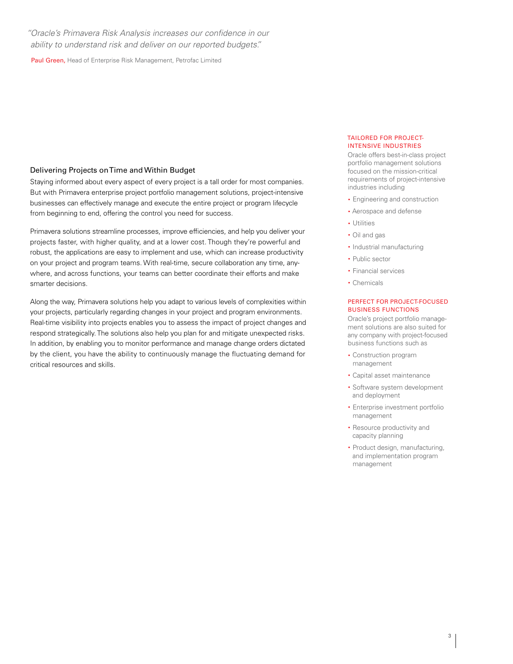## *"Oracle's Primavera Risk Analysis increases our confidence in our ability to understand risk and deliver on our reported budgets."*

Paul Green, Head of Enterprise Risk Management, Petrofac Limited

## Delivering Projects on Time and Within Budget

Staying informed about every aspect of every project is a tall order for most companies. But with Primavera enterprise project portfolio management solutions, project-intensive businesses can effectively manage and execute the entire project or program lifecycle from beginning to end, offering the control you need for success.

Primavera solutions streamline processes, improve efficiencies, and help you deliver your projects faster, with higher quality, and at a lower cost. Though they're powerful and robust, the applications are easy to implement and use, which can increase productivity on your project and program teams. With real-time, secure collaboration any time, anywhere, and across functions, your teams can better coordinate their efforts and make smarter decisions.

Along the way, Primavera solutions help you adapt to various levels of complexities within your projects, particularly regarding changes in your project and program environments. Real-time visibility into projects enables you to assess the impact of project changes and respond strategically. The solutions also help you plan for and mitigate unexpected risks. In addition, by enabling you to monitor performance and manage change orders dictated by the client, you have the ability to continuously manage the fluctuating demand for critical resources and skills.

#### tailoreD for Projectintensive inDustries

Oracle offers best-in-class project portfolio management solutions focused on the mission-critical requirements of project-intensive industries including

- Engineering and construction
- • Aerospace and defense
- Utilities
- Oil and gas
- Industrial manufacturing
- Public sector
- Financial services
- Chemicals

#### Perfect for Project-focuseD Business functions

Oracle's project portfolio management solutions are also suited for any company with project-focused business functions such as

- Construction program management
- Capital asset maintenance
- Software system development and deployment
- Enterprise investment portfolio management
- Resource productivity and capacity planning
- Product design, manufacturing, and implementation program management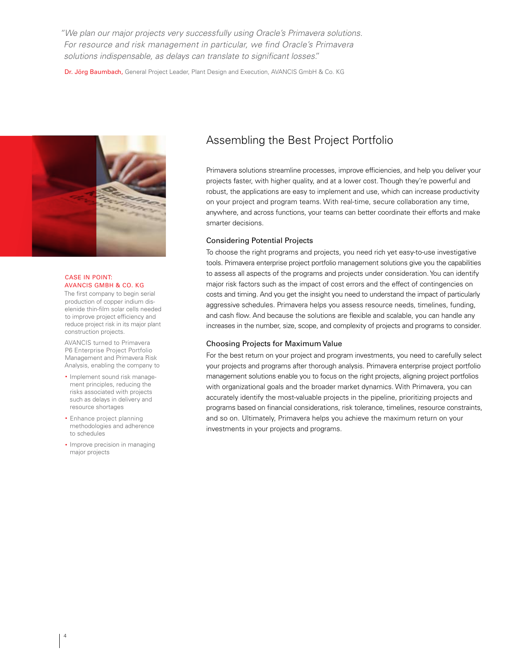*"We plan our major projects very successfully using Oracle's Primavera solutions. For resource and risk management in particular, we find Oracle's Primavera solutions indispensable, as delays can translate to significant losses."* 

Dr. Jörg Baumbach, General Project Leader, Plant Design and Execution, AVANCIS GmbH & Co. KG



### case in Point: avancis gmBH & co. kg

The first company to begin serial production of copper indium diselenide thin-film solar cells needed to improve project efficiency and reduce project risk in its major plant construction projects.

AVANCIS turned to Primavera P6 Enterprise Project Portfolio Management and Primavera Risk Analysis, enabling the company to

- Implement sound risk management principles, reducing the risks associated with projects such as delays in delivery and resource shortages
- Enhance project planning methodologies and adherence to schedules
- Improve precision in managing major projects

## Assembling the Best Project Portfolio

Primavera solutions streamline processes, improve efficiencies, and help you deliver your projects faster, with higher quality, and at a lower cost. Though they're powerful and robust, the applications are easy to implement and use, which can increase productivity on your project and program teams. With real-time, secure collaboration any time, anywhere, and across functions, your teams can better coordinate their efforts and make smarter decisions.

### considering Potential Projects

To choose the right programs and projects, you need rich yet easy-to-use investigative tools. Primavera enterprise project portfolio management solutions give you the capabilities to assess all aspects of the programs and projects under consideration. You can identify major risk factors such as the impact of cost errors and the effect of contingencies on costs and timing. And you get the insight you need to understand the impact of particularly aggressive schedules. Primavera helps you assess resource needs, timelines, funding, and cash flow. And because the solutions are flexible and scalable, you can handle any increases in the number, size, scope, and complexity of projects and programs to consider.

## Choosing Projects for Maximum Value

For the best return on your project and program investments, you need to carefully select your projects and programs after thorough analysis. Primavera enterprise project portfolio management solutions enable you to focus on the right projects, aligning project portfolios with organizational goals and the broader market dynamics. With Primavera, you can accurately identify the most-valuable projects in the pipeline, prioritizing projects and programs based on financial considerations, risk tolerance, timelines, resource constraints, and so on. Ultimately, Primavera helps you achieve the maximum return on your investments in your projects and programs.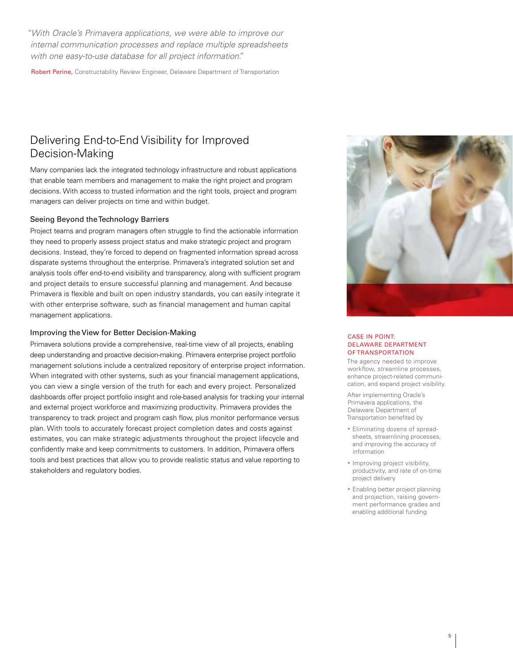*"With Oracle's Primavera applications, we were able to improve our internal communication processes and replace multiple spreadsheets with one easy-to-use database for all project information."* 

Robert Perine, Constructability Review Engineer, Delaware Department of Transportation

## Delivering End-to-End Visibility for Improved Decision-Making

Many companies lack the integrated technology infrastructure and robust applications that enable team members and management to make the right project and program decisions. With access to trusted information and the right tools, project and program managers can deliver projects on time and within budget.

## Seeing Beyond the Technology Barriers

Project teams and program managers often struggle to find the actionable information they need to properly assess project status and make strategic project and program decisions. Instead, they're forced to depend on fragmented information spread across disparate systems throughout the enterprise. Primavera's integrated solution set and analysis tools offer end-to-end visibility and transparency, along with sufficient program and project details to ensure successful planning and management. And because Primavera is flexible and built on open industry standards, you can easily integrate it with other enterprise software, such as financial management and human capital management applications.

## Improving the View for Better Decision-Making

Primavera solutions provide a comprehensive, real-time view of all projects, enabling deep understanding and proactive decision-making. Primavera enterprise project portfolio management solutions include a centralized repository of enterprise project information. When integrated with other systems, such as your financial management applications, you can view a single version of the truth for each and every project. Personalized dashboards offer project portfolio insight and role-based analysis for tracking your internal and external project workforce and maximizing productivity. Primavera provides the transparency to track project and program cash flow, plus monitor performance versus plan. With tools to accurately forecast project completion dates and costs against estimates, you can make strategic adjustments throughout the project lifecycle and confidently make and keep commitments to customers. In addition, Primavera offers tools and best practices that allow you to provide realistic status and value reporting to stakeholders and regulatory bodies.



#### case in Point: DelaWare DePartment **OF TRANSPORTATION**

The agency needed to improve workflow, streamline processes, enhance project-related communication, and expand project visibility.

After implementing Oracle's Primavera applications, the Delaware Department of Transportation benefited by

- Eliminating dozens of spreadsheets, streamlining processes, and improving the accuracy of information
- Improving project visibility, productivity, and rate of on-time project delivery
- Enabling better project planning and projection, raising government performance grades and enabling additional funding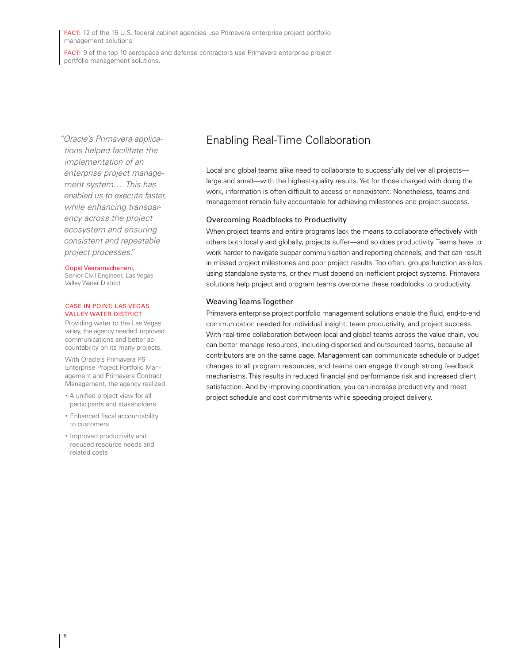FACT: 12 of the 15 U.S. federal cabinet agencies use Primavera enterprise project portfolio management solutions.

FACT: 9 of the top 10 aerospace and defense contractors use Primavera enterprise project portfolio management solutions.

*"Oracle's Primavera applications helped facilitate the implementation of an enterprise project management system…. This has enabled us to execute faster, while enhancing transparency across the project ecosystem and ensuring consistent and repeatable project processes."* 

#### gopal veeramachaneni,

Senior Civil Engineer, Las Vegas Valley Water District

#### case in Point: las vegas valley Water District

Providing water to the Las Vegas valley, the agency needed improved communications and better accountability on its many projects.

With Oracle's Primavera P6 Enterprise Project Portfolio Management and Primavera Contract Management, the agency realized

- A unified project view for all participants and stakeholders
- Enhanced fiscal accountability to customers
- Improved productivity and reduced resource needs and related costs

## Enabling Real-Time Collaboration

Local and global teams alike need to collaborate to successfully deliver all projectslarge and small—with the highest-quality results. Yet for those charged with doing the work, information is often difficult to access or nonexistent. Nonetheless, teams and management remain fully accountable for achieving milestones and project success.

### Overcoming Roadblocks to Productivity

When project teams and entire programs lack the means to collaborate effectively with others both locally and globally, projects suffer—and so does productivity. Teams have to work harder to navigate subpar communication and reporting channels, and that can result in missed project milestones and poor project results. Too often, groups function as silos using standalone systems, or they must depend on inefficient project systems. Primavera solutions help project and program teams overcome these roadblocks to productivity.

### Weaving Teams Together

Primavera enterprise project portfolio management solutions enable the fluid, end-to-end communication needed for individual insight, team productivity, and project success. With real-time collaboration between local and global teams across the value chain, you can better manage resources, including dispersed and outsourced teams, because all contributors are on the same page. Management can communicate schedule or budget changes to all program resources, and teams can engage through strong feedback mechanisms. This results in reduced financial and performance risk and increased client satisfaction. And by improving coordination, you can increase productivity and meet project schedule and cost commitments while speeding project delivery.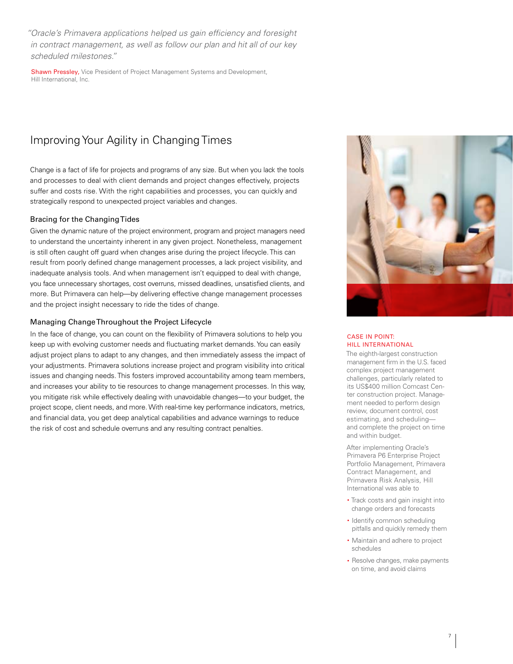*"Oracle's Primavera applications helped us gain efficiency and foresight in contract management, as well as follow our plan and hit all of our key scheduled milestones."* 

Shawn Pressley, Vice President of Project Management Systems and Development, Hill International, Inc.

## Improving Your Agility in Changing Times

Change is a fact of life for projects and programs of any size. But when you lack the tools and processes to deal with client demands and project changes effectively, projects suffer and costs rise. With the right capabilities and processes, you can quickly and strategically respond to unexpected project variables and changes.

## Bracing for the Changing Tides

Given the dynamic nature of the project environment, program and project managers need to understand the uncertainty inherent in any given project. Nonetheless, management is still often caught off guard when changes arise during the project lifecycle. This can result from poorly defined change management processes, a lack project visibility, and inadequate analysis tools. And when management isn't equipped to deal with change, you face unnecessary shortages, cost overruns, missed deadlines, unsatisfied clients, and more. But Primavera can help—by delivering effective change management processes and the project insight necessary to ride the tides of change.

## Managing Change Throughout the Project Lifecycle

In the face of change, you can count on the flexibility of Primavera solutions to help you keep up with evolving customer needs and fluctuating market demands. You can easily adjust project plans to adapt to any changes, and then immediately assess the impact of your adjustments. Primavera solutions increase project and program visibility into critical issues and changing needs. This fosters improved accountability among team members, and increases your ability to tie resources to change management processes. In this way, you mitigate risk while effectively dealing with unavoidable changes—to your budget, the project scope, client needs, and more. With real-time key performance indicators, metrics, and financial data, you get deep analytical capabilities and advance warnings to reduce the risk of cost and schedule overruns and any resulting contract penalties.



### case in Point: Hill international

The eighth-largest construction management firm in the U.S. faced complex project management challenges, particularly related to its US\$400 million Comcast Center construction project. Management needed to perform design review, document control, cost estimating, and scheduling and complete the project on time and within budget.

After implementing Oracle's Primavera P6 Enterprise Project Portfolio Management, Primavera Contract Management, and Primavera Risk Analysis, Hill International was able to

- Track costs and gain insight into change orders and forecasts
- Identify common scheduling pitfalls and quickly remedy them
- Maintain and adhere to project schedules
- Resolve changes, make payments on time, and avoid claims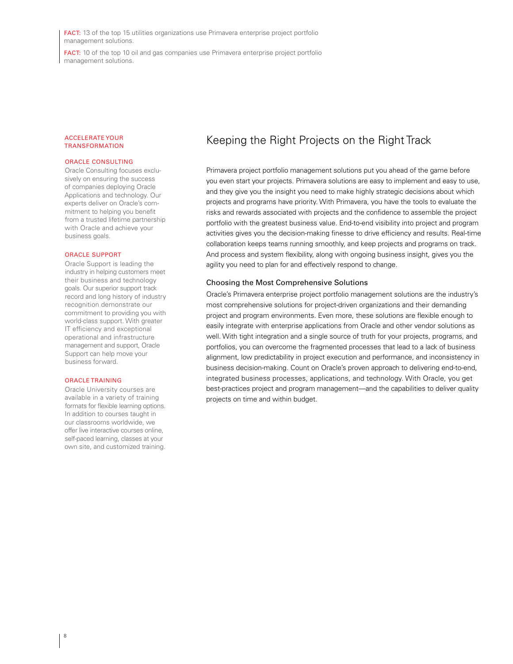FACT: 13 of the top 15 utilities organizations use Primavera enterprise project portfolio management solutions.

**FACT:** 10 of the top 10 oil and gas companies use Primavera enterprise project portfolio management solutions.

#### accelerate your **TRANSFORMATION**

### oracle consulting

Oracle Consulting focuses exclusively on ensuring the success of companies deploying Oracle Applications and technology. Our experts deliver on Oracle's commitment to helping you benefit from a trusted lifetime partnership with Oracle and achieve your business goals.

#### oracle suPPort

Oracle Support is leading the industry in helping customers meet their business and technology goals. Our superior support track record and long history of industry recognition demonstrate our commitment to providing you with world-class support. With greater IT efficiency and exceptional operational and infrastructure management and support, Oracle Support can help move your business forward.

#### oracle training

Oracle University courses are available in a variety of training formats for flexible learning options. In addition to courses taught in our classrooms worldwide, we offer live interactive courses online, self-paced learning, classes at your own site, and customized training.

## Keeping the Right Projects on the Right Track

Primavera project portfolio management solutions put you ahead of the game before you even start your projects. Primavera solutions are easy to implement and easy to use, and they give you the insight you need to make highly strategic decisions about which projects and programs have priority. With Primavera, you have the tools to evaluate the risks and rewards associated with projects and the confidence to assemble the project portfolio with the greatest business value. End-to-end visibility into project and program activities gives you the decision-making finesse to drive efficiency and results. Real-time collaboration keeps teams running smoothly, and keep projects and programs on track. And process and system flexibility, along with ongoing business insight, gives you the agility you need to plan for and effectively respond to change.

#### Choosing the Most Comprehensive Solutions

Oracle's Primavera enterprise project portfolio management solutions are the industry's most comprehensive solutions for project-driven organizations and their demanding project and program environments. Even more, these solutions are flexible enough to easily integrate with enterprise applications from Oracle and other vendor solutions as well. With tight integration and a single source of truth for your projects, programs, and portfolios, you can overcome the fragmented processes that lead to a lack of business alignment, low predictability in project execution and performance, and inconsistency in business decision-making. Count on Oracle's proven approach to delivering end-to-end, integrated business processes, applications, and technology. With Oracle, you get best-practices project and program management—and the capabilities to deliver quality projects on time and within budget.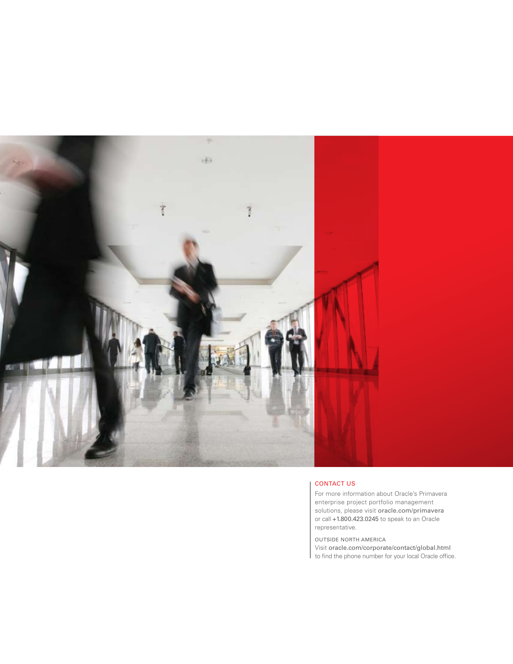

## contact us

For more information about Oracle's Primavera enterprise project portfolio management solutions, please visit oracle.com/primavera or call +1.800.423.0245 to speak to an Oracle representative.

outsiDe nortH america Visit oracle.com/corporate/contact/global.html I to find the phone number for your local Oracle office.